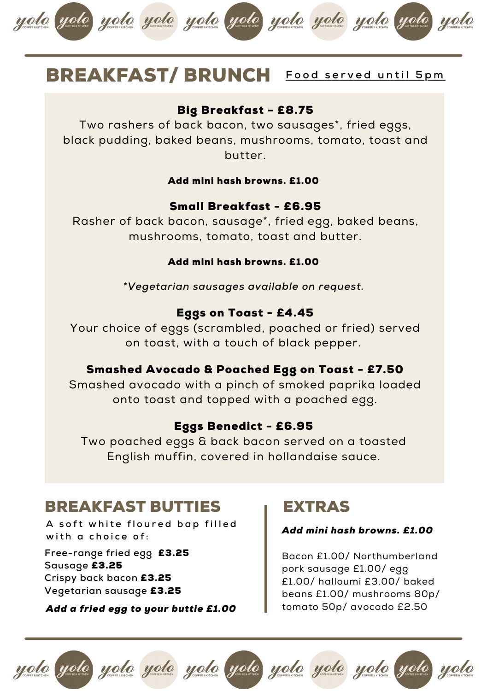

### BREAKFAST/ BRUNCH **Egged served until 5pm**

#### Big Breakfast - £8.75

Two rashers of back bacon, two sausages\*, fried eggs, black pudding, baked beans, mushrooms, tomato, toast and butter.

#### Add mini hash browns. £1.00

#### Small Breakfast - £6.95

Rasher of back bacon, sausage\*, fried egg, baked beans, mushrooms, tomato, toast and butter.

#### Add mini hash browns. £1.00

*\*Vegetarian sausages available on request.*

#### Eggs on Toast - £4.45

Your choice of eggs (scrambled, poached or fried) served on toast, with a touch of black pepper.

#### Smashed Avocado & Poached Egg on Toast - £7.50

Smashed avocado with a pinch of smoked paprika loaded onto toast and topped with a poached egg.

#### Eggs Benedict - £6.95

Two poached eggs & back bacon served on a toasted English muffin, covered in hollandaise sauce.

#### BREAKFAST BUTTIES

A soft white floured bap filled **w i t h a c h o i c e o f :**

**Free-range fried egg** £3.25 **Sausage** £3.25 **Crispy back bacon** £3.25 **Vegetarian sausage** £3.25

*Add a fried egg to your buttie £1.00*

### EXTRAS

#### *Add mini hash browns. £1.00*

Bacon £1.00/ Northumberland pork sausage £1.00/ egg £1.00/ halloumi £3.00/ baked beans £1.00/ mushrooms 80p/ tomato 50p/ avocado £2.50

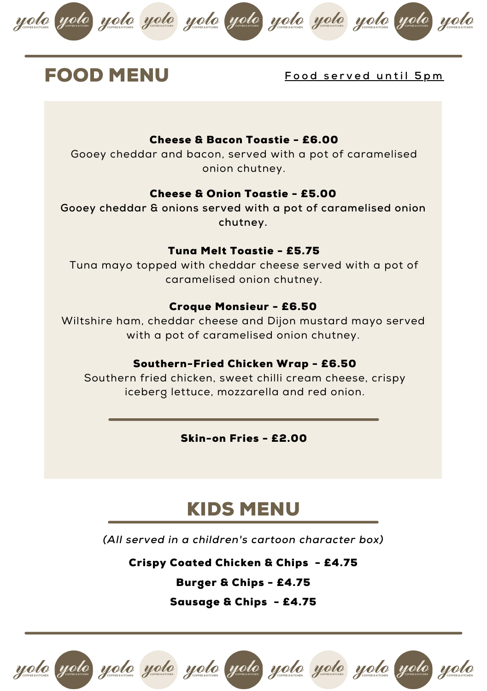







#### **FOOD MENU** Food served until 5pm

#### Cheese & Bacon Toastie - £6.00

Gooey cheddar and bacon, served with a pot of caramelised onion chutney.

#### Cheese & Onion Toastie - £5.00

**Gooey cheddar & onions served with a pot of caramelised onion chutney.**

#### Tuna Melt Toastie - £5.75

Tuna mayo topped with cheddar cheese served with a pot of caramelised onion chutney.

#### Croque Monsieur - £6.50

Wiltshire ham, cheddar cheese and Dijon mustard mayo served with a pot of caramelised onion chutney.

#### Southern-Fried Chicken Wrap - £6.50

Southern fried chicken, sweet chilli cream cheese, crispy iceberg lettuce, mozzarella and red onion.

Skin-on Fries - £2.00

### KIDS MENU

*(All served in a children's cartoon character box)*

Crispy Coated Chicken & Chips - £4.75

Burger & Chips - £4.75

Sausage & Chips - £4.75

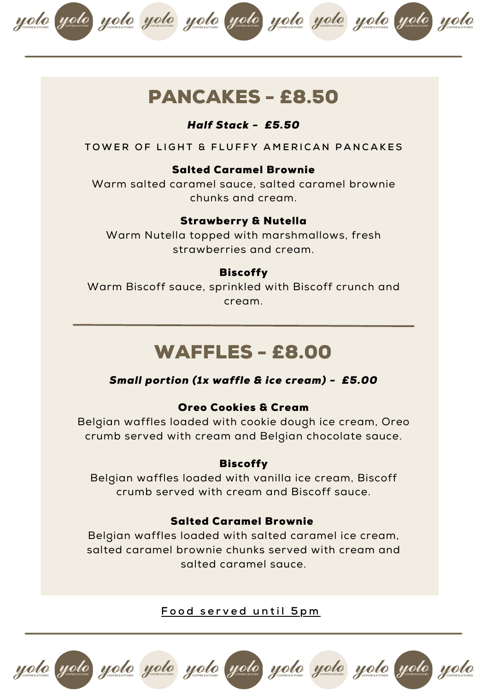

### PANCAKES - £8.50

#### *Half Stack - £5.50*

TOWER OF LIGHT & FLUEEY AMERICAN PANCAKES

#### Salted Caramel Brownie

Warm salted caramel sauce, salted caramel brownie chunks and cream.

#### Strawberry & Nutella

Warm Nutella topped with marshmallows, fresh strawberries and cream.

#### **Biscoffy**

Warm Biscoff sauce, sprinkled with Biscoff crunch and cream.

### WAFFLES - £8.00

#### *Small portion (1x waffle & ice cream) - £5.00*

#### Oreo Cookies & Cream

Belgian waffles loaded with cookie dough ice cream, Oreo crumb served with cream and Belgian chocolate sauce.

#### **Biscoffy**

Belgian waffles loaded with vanilla ice cream, Biscoff crumb served with cream and Biscoff sauce.

#### Salted Caramel Brownie

Belgian waffles loaded with salted caramel ice cream, salted caramel brownie chunks served with cream and salted caramel sauce.

**F o o d s e r v e d u n t i l 5 p m**

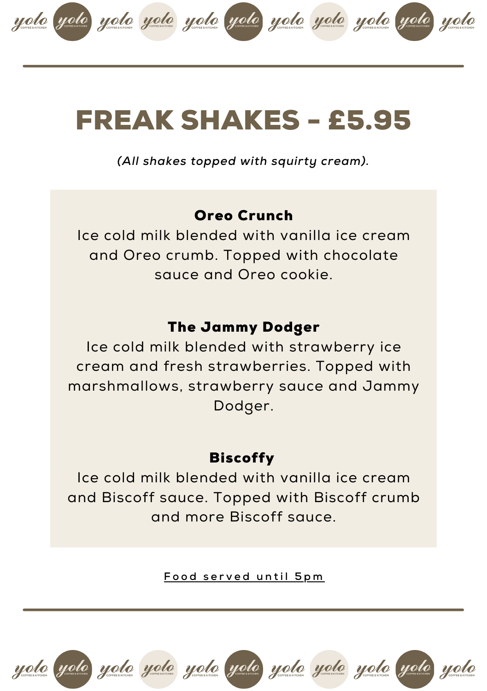

# FREAK SHAKES - £5.95

*(All shakes topped with squirty cream).*

### Oreo Crunch

Ice cold milk blended with vanilla ice cream and Oreo crumb. Topped with chocolate sauce and Oreo cookie.

#### The Jammy Dodger

Ice cold milk blended with strawberry ice cream and fresh strawberries. Topped with marshmallows, strawberry sauce and Jammy Dodger.

#### Biscoffy

Ice cold milk blended with vanilla ice cream and Biscoff sauce. Topped with Biscoff crumb and more Biscoff sauce.

**F o o d s e r v e d u n t i l 5 p m**